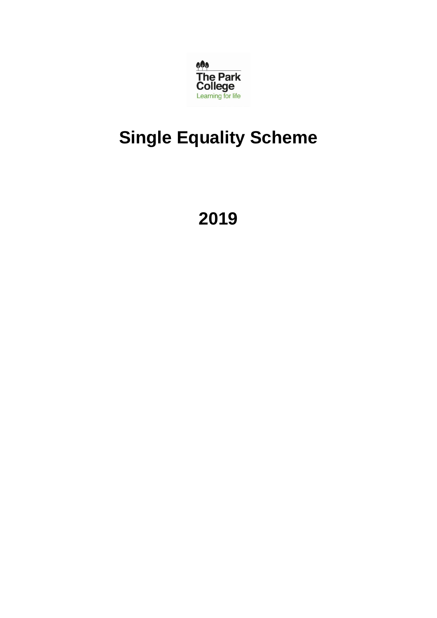

# **Single Equality Scheme**

**2019**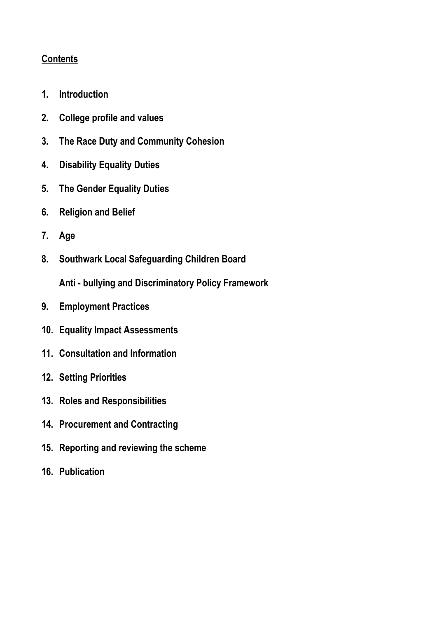# **Contents**

- **1. Introduction**
- **2. College profile and values**
- **3. The Race Duty and Community Cohesion**
- **4. Disability Equality Duties**
- **5. The Gender Equality Duties**
- **6. Religion and Belief**
- **7. Age**
- **8. Southwark Local Safeguarding Children Board**

**Anti - bullying and Discriminatory Policy Framework**

- **9. Employment Practices**
- **10. Equality Impact Assessments**
- **11. Consultation and Information**
- **12. Setting Priorities**
- **13. Roles and Responsibilities**
- **14. Procurement and Contracting**
- **15. Reporting and reviewing the scheme**
- **16. Publication**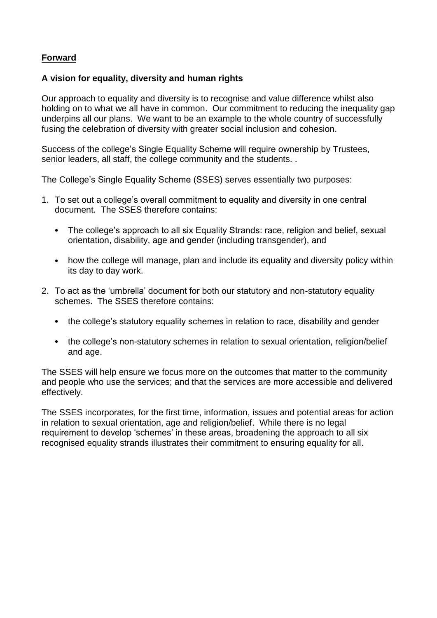#### **Forward**

#### **A vision for equality, diversity and human rights**

Our approach to equality and diversity is to recognise and value difference whilst also holding on to what we all have in common. Our commitment to reducing the inequality gap underpins all our plans. We want to be an example to the whole country of successfully fusing the celebration of diversity with greater social inclusion and cohesion.

Success of the college's Single Equality Scheme will require ownership by Trustees, senior leaders, all staff, the college community and the students. .

The College's Single Equality Scheme (SSES) serves essentially two purposes:

- 1. To set out a college's overall commitment to equality and diversity in one central document. The SSES therefore contains:
	- The college's approach to all six Equality Strands: race, religion and belief, sexual orientation, disability, age and gender (including transgender), and
	- how the college will manage, plan and include its equality and diversity policy within its day to day work.
- 2. To act as the 'umbrella' document for both our statutory and non-statutory equality schemes. The SSES therefore contains:
	- the college's statutory equality schemes in relation to race, disability and gender
	- the college's non-statutory schemes in relation to sexual orientation, religion/belief and age.

The SSES will help ensure we focus more on the outcomes that matter to the community and people who use the services; and that the services are more accessible and delivered effectively.

The SSES incorporates, for the first time, information, issues and potential areas for action in relation to sexual orientation, age and religion/belief. While there is no legal requirement to develop 'schemes' in these areas, broadening the approach to all six recognised equality strands illustrates their commitment to ensuring equality for all.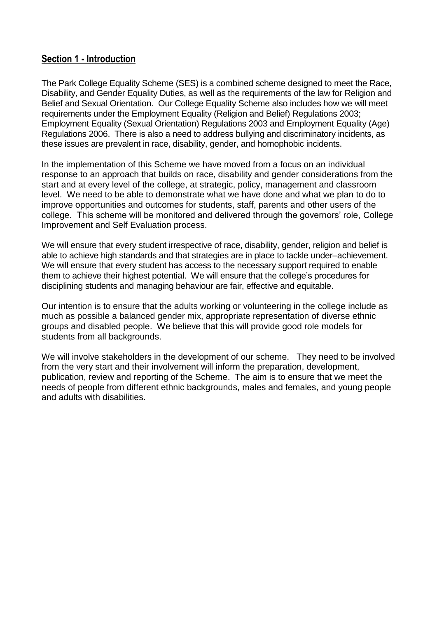## **Section 1 - Introduction**

The Park College Equality Scheme (SES) is a combined scheme designed to meet the Race, Disability, and Gender Equality Duties, as well as the requirements of the law for Religion and Belief and Sexual Orientation. Our College Equality Scheme also includes how we will meet requirements under the Employment Equality (Religion and Belief) Regulations 2003; Employment Equality (Sexual Orientation) Regulations 2003 and Employment Equality (Age) Regulations 2006. There is also a need to address bullying and discriminatory incidents, as these issues are prevalent in race, disability, gender, and homophobic incidents.

In the implementation of this Scheme we have moved from a focus on an individual response to an approach that builds on race, disability and gender considerations from the start and at every level of the college, at strategic, policy, management and classroom level. We need to be able to demonstrate what we have done and what we plan to do to improve opportunities and outcomes for students, staff, parents and other users of the college. This scheme will be monitored and delivered through the governors' role, College Improvement and Self Evaluation process.

We will ensure that every student irrespective of race, disability, gender, religion and belief is able to achieve high standards and that strategies are in place to tackle under–achievement. We will ensure that every student has access to the necessary support required to enable them to achieve their highest potential. We will ensure that the college's procedures for disciplining students and managing behaviour are fair, effective and equitable.

Our intention is to ensure that the adults working or volunteering in the college include as much as possible a balanced gender mix, appropriate representation of diverse ethnic groups and disabled people. We believe that this will provide good role models for students from all backgrounds.

We will involve stakeholders in the development of our scheme. They need to be involved from the very start and their involvement will inform the preparation, development, publication, review and reporting of the Scheme. The aim is to ensure that we meet the needs of people from different ethnic backgrounds, males and females, and young people and adults with disabilities.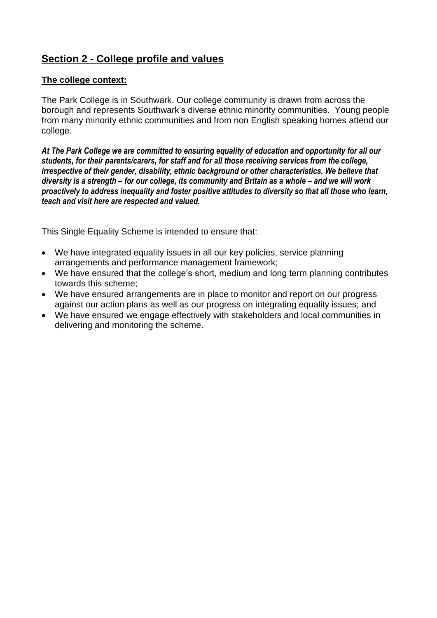# **Section 2 - College profile and values**

#### **The college context:**

The Park College is in Southwark. Our college community is drawn from across the borough and represents Southwark's diverse ethnic minority communities. Young people from many minority ethnic communities and from non English speaking homes attend our college.

*At The Park College we are committed to ensuring equality of education and opportunity for all our students, for their parents/carers, for staff and for all those receiving services from the college, irrespective of their gender, disability, ethnic background or other characteristics. We believe that diversity is a strength – for our college, its community and Britain as a whole – and we will work proactively to address inequality and foster positive attitudes to diversity so that all those who learn, teach and visit here are respected and valued.*

This Single Equality Scheme is intended to ensure that:

- We have integrated equality issues in all our key policies, service planning arrangements and performance management framework;
- We have ensured that the college's short, medium and long term planning contributes towards this scheme;
- We have ensured arrangements are in place to monitor and report on our progress against our action plans as well as our progress on integrating equality issues; and
- We have ensured we engage effectively with stakeholders and local communities in delivering and monitoring the scheme.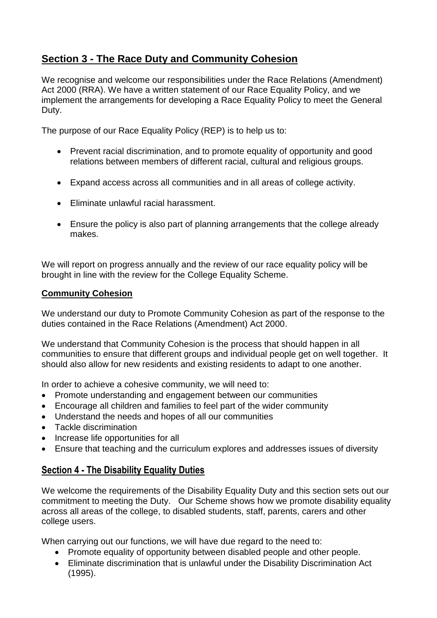# **Section 3 - The Race Duty and Community Cohesion**

We recognise and welcome our responsibilities under the Race Relations (Amendment) Act 2000 (RRA). We have a written statement of our Race Equality Policy, and we implement the arrangements for developing a Race Equality Policy to meet the General Duty.

The purpose of our Race Equality Policy (REP) is to help us to:

- Prevent racial discrimination, and to promote equality of opportunity and good relations between members of different racial, cultural and religious groups.
- Expand access across all communities and in all areas of college activity.
- Eliminate unlawful racial harassment.
- Ensure the policy is also part of planning arrangements that the college already makes.

We will report on progress annually and the review of our race equality policy will be brought in line with the review for the College Equality Scheme.

#### **Community Cohesion**

We understand our duty to Promote Community Cohesion as part of the response to the duties contained in the Race Relations (Amendment) Act 2000.

We understand that Community Cohesion is the process that should happen in all communities to ensure that different groups and individual people get on well together. It should also allow for new residents and existing residents to adapt to one another.

In order to achieve a cohesive community, we will need to:

- Promote understanding and engagement between our communities
- Encourage all children and families to feel part of the wider community
- Understand the needs and hopes of all our communities
- Tackle discrimination
- Increase life opportunities for all
- Ensure that teaching and the curriculum explores and addresses issues of diversity

# **Section 4 - The Disability Equality Duties**

We welcome the requirements of the Disability Equality Duty and this section sets out our commitment to meeting the Duty. Our Scheme shows how we promote disability equality across all areas of the college, to disabled students, staff, parents, carers and other college users.

When carrying out our functions, we will have due regard to the need to:

- Promote equality of opportunity between disabled people and other people.
- Eliminate discrimination that is unlawful under the Disability Discrimination Act (1995).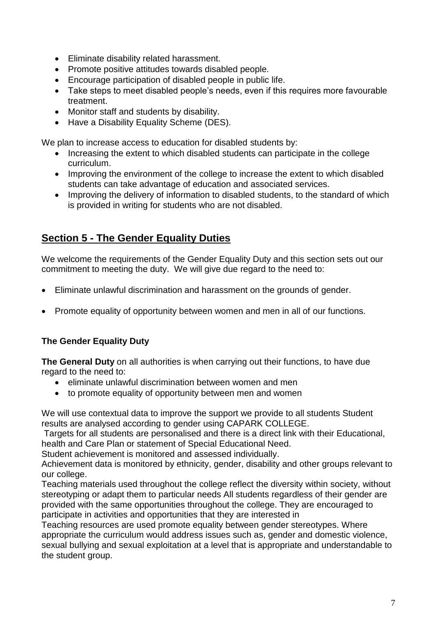- Eliminate disability related harassment.
- Promote positive attitudes towards disabled people.
- Encourage participation of disabled people in public life.
- Take steps to meet disabled people's needs, even if this requires more favourable treatment.
- Monitor staff and students by disability.
- Have a Disability Equality Scheme (DES).

We plan to increase access to education for disabled students by:

- Increasing the extent to which disabled students can participate in the college curriculum.
- Improving the environment of the college to increase the extent to which disabled students can take advantage of education and associated services.
- Improving the delivery of information to disabled students, to the standard of which is provided in writing for students who are not disabled.

# **Section 5 - The Gender Equality Duties**

We welcome the requirements of the Gender Equality Duty and this section sets out our commitment to meeting the duty. We will give due regard to the need to:

- Eliminate unlawful discrimination and harassment on the grounds of gender.
- Promote equality of opportunity between women and men in all of our functions.

# **The Gender Equality Duty**

**The General Duty** on all authorities is when carrying out their functions, to have due regard to the need to:

- eliminate unlawful discrimination between women and men
- to promote equality of opportunity between men and women

We will use contextual data to improve the support we provide to all students Student results are analysed according to gender using CAPARK COLLEGE.

Targets for all students are personalised and there is a direct link with their Educational, health and Care Plan or statement of Special Educational Need.

Student achievement is monitored and assessed individually.

Achievement data is monitored by ethnicity, gender, disability and other groups relevant to our college.

Teaching materials used throughout the college reflect the diversity within society, without stereotyping or adapt them to particular needs All students regardless of their gender are provided with the same opportunities throughout the college. They are encouraged to participate in activities and opportunities that they are interested in

Teaching resources are used promote equality between gender stereotypes. Where appropriate the curriculum would address issues such as, gender and domestic violence, sexual bullying and sexual exploitation at a level that is appropriate and understandable to the student group.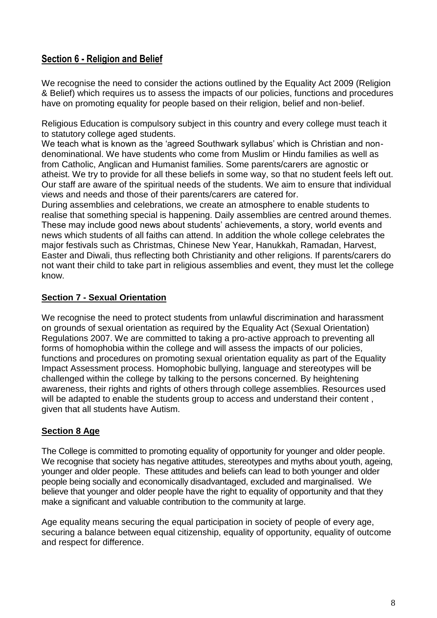# **Section 6 - Religion and Belief**

We recognise the need to consider the actions outlined by the Equality Act 2009 (Religion & Belief) which requires us to assess the impacts of our policies, functions and procedures have on promoting equality for people based on their religion, belief and non-belief.

Religious Education is compulsory subject in this country and every college must teach it to statutory college aged students.

We teach what is known as the 'agreed Southwark syllabus' which is Christian and nondenominational. We have students who come from Muslim or Hindu families as well as from Catholic, Anglican and Humanist families. Some parents/carers are agnostic or atheist. We try to provide for all these beliefs in some way, so that no student feels left out. Our staff are aware of the spiritual needs of the students. We aim to ensure that individual views and needs and those of their parents/carers are catered for.

During assemblies and celebrations, we create an atmosphere to enable students to realise that something special is happening. Daily assemblies are centred around themes. These may include good news about students' achievements, a story, world events and news which students of all faiths can attend. In addition the whole college celebrates the major festivals such as Christmas, Chinese New Year, Hanukkah, Ramadan, Harvest, Easter and Diwali, thus reflecting both Christianity and other religions. If parents/carers do not want their child to take part in religious assemblies and event, they must let the college know.

## **Section 7 - Sexual Orientation**

We recognise the need to protect students from unlawful discrimination and harassment on grounds of sexual orientation as required by the Equality Act (Sexual Orientation) Regulations 2007. We are committed to taking a pro-active approach to preventing all forms of homophobia within the college and will assess the impacts of our policies, functions and procedures on promoting sexual orientation equality as part of the Equality Impact Assessment process. Homophobic bullying, language and stereotypes will be challenged within the college by talking to the persons concerned. By heightening awareness, their rights and rights of others through college assemblies. Resources used will be adapted to enable the students group to access and understand their content, given that all students have Autism.

# **Section 8 Age**

The College is committed to promoting equality of opportunity for younger and older people. We recognise that society has negative attitudes, stereotypes and myths about youth, ageing, younger and older people. These attitudes and beliefs can lead to both younger and older people being socially and economically disadvantaged, excluded and marginalised. We believe that younger and older people have the right to equality of opportunity and that they make a significant and valuable contribution to the community at large.

Age equality means securing the equal participation in society of people of every age, securing a balance between equal citizenship, equality of opportunity, equality of outcome and respect for difference.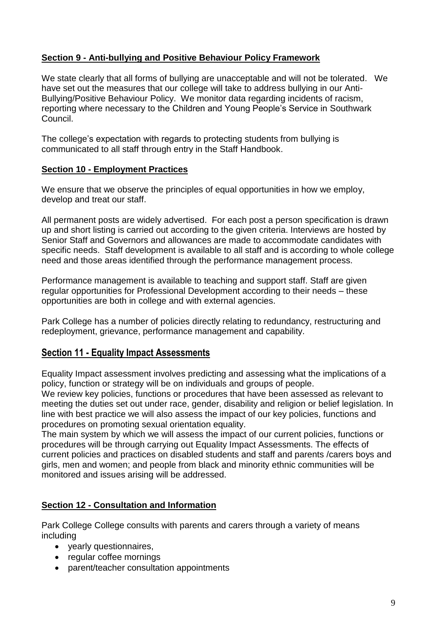## **Section 9 - Anti-bullying and Positive Behaviour Policy Framework**

We state clearly that all forms of bullying are unacceptable and will not be tolerated. We have set out the measures that our college will take to address bullying in our Anti-Bullying/Positive Behaviour Policy. We monitor data regarding incidents of racism, reporting where necessary to the Children and Young People's Service in Southwark Council.

The college's expectation with regards to protecting students from bullying is communicated to all staff through entry in the Staff Handbook.

#### **Section 10 - Employment Practices**

We ensure that we observe the principles of equal opportunities in how we employ, develop and treat our staff.

All permanent posts are widely advertised. For each post a person specification is drawn up and short listing is carried out according to the given criteria. Interviews are hosted by Senior Staff and Governors and allowances are made to accommodate candidates with specific needs. Staff development is available to all staff and is according to whole college need and those areas identified through the performance management process.

Performance management is available to teaching and support staff. Staff are given regular opportunities for Professional Development according to their needs – these opportunities are both in college and with external agencies.

Park College has a number of policies directly relating to redundancy, restructuring and redeployment, grievance, performance management and capability.

# **Section 11 - Equality Impact Assessments**

Equality Impact assessment involves predicting and assessing what the implications of a policy, function or strategy will be on individuals and groups of people.

We review key policies, functions or procedures that have been assessed as relevant to meeting the duties set out under race, gender, disability and religion or belief legislation. In line with best practice we will also assess the impact of our key policies, functions and procedures on promoting sexual orientation equality.

The main system by which we will assess the impact of our current policies, functions or procedures will be through carrying out Equality Impact Assessments. The effects of current policies and practices on disabled students and staff and parents /carers boys and girls, men and women; and people from black and minority ethnic communities will be monitored and issues arising will be addressed.

# **Section 12 - Consultation and Information**

Park College College consults with parents and carers through a variety of means including

- yearly questionnaires,
- regular coffee mornings
- parent/teacher consultation appointments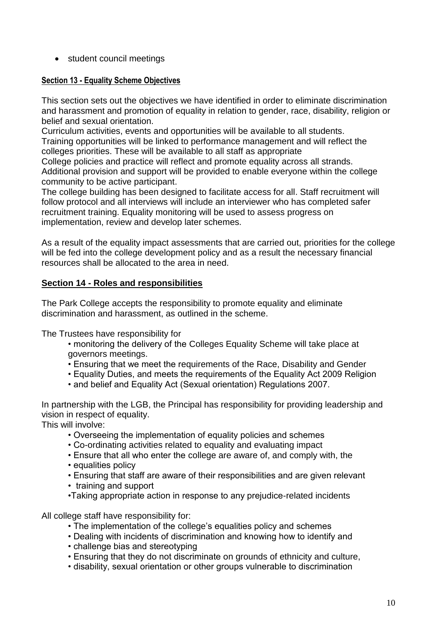• student council meetings

#### **Section 13 - Equality Scheme Objectives**

This section sets out the objectives we have identified in order to eliminate discrimination and harassment and promotion of equality in relation to gender, race, disability, religion or belief and sexual orientation.

Curriculum activities, events and opportunities will be available to all students. Training opportunities will be linked to performance management and will reflect the colleges priorities. These will be available to all staff as appropriate

College policies and practice will reflect and promote equality across all strands. Additional provision and support will be provided to enable everyone within the college community to be active participant.

The college building has been designed to facilitate access for all. Staff recruitment will follow protocol and all interviews will include an interviewer who has completed safer recruitment training. Equality monitoring will be used to assess progress on implementation, review and develop later schemes.

As a result of the equality impact assessments that are carried out, priorities for the college will be fed into the college development policy and as a result the necessary financial resources shall be allocated to the area in need.

## **Section 14 - Roles and responsibilities**

The Park College accepts the responsibility to promote equality and eliminate discrimination and harassment, as outlined in the scheme.

The Trustees have responsibility for

- monitoring the delivery of the Colleges Equality Scheme will take place at governors meetings.
- Ensuring that we meet the requirements of the Race, Disability and Gender
- Equality Duties, and meets the requirements of the Equality Act 2009 Religion
- and belief and Equality Act (Sexual orientation) Regulations 2007.

In partnership with the LGB, the Principal has responsibility for providing leadership and vision in respect of equality.

This will involve:

- Overseeing the implementation of equality policies and schemes
- Co-ordinating activities related to equality and evaluating impact
- Ensure that all who enter the college are aware of, and comply with, the
- equalities policy
- Ensuring that staff are aware of their responsibilities and are given relevant
- training and support
- •Taking appropriate action in response to any prejudice-related incidents

All college staff have responsibility for:

- The implementation of the college's equalities policy and schemes
- Dealing with incidents of discrimination and knowing how to identify and
- challenge bias and stereotyping
- Ensuring that they do not discriminate on grounds of ethnicity and culture,
- disability, sexual orientation or other groups vulnerable to discrimination